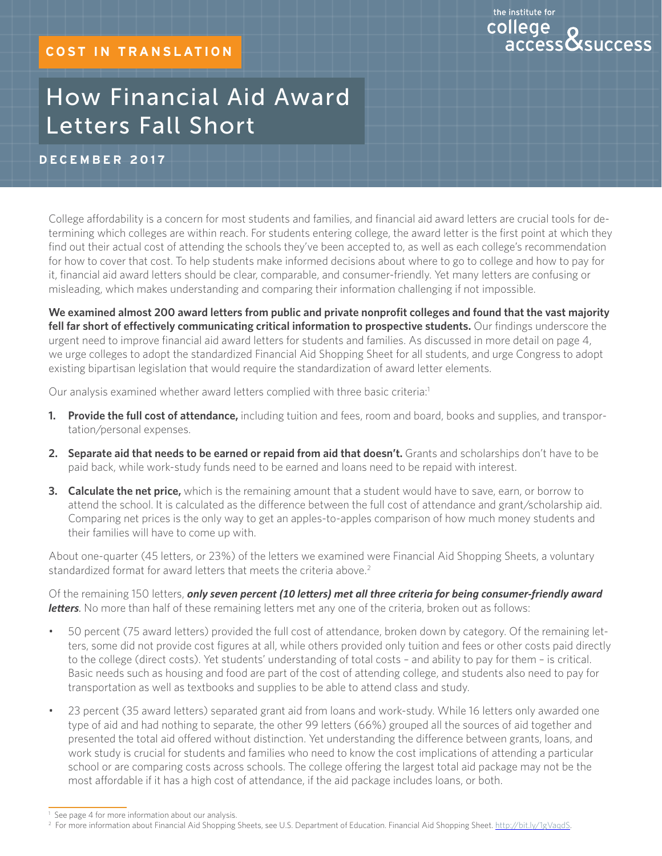# the institute for college access**&**success

# How Financial Aid Award Letters Fall Short

# **D ec ember 2017**

College affordability is a concern for most students and families, and financial aid award letters are crucial tools for determining which colleges are within reach. For students entering college, the award letter is the first point at which they find out their actual cost of attending the schools they've been accepted to, as well as each college's recommendation for how to cover that cost. To help students make informed decisions about where to go to college and how to pay for it, financial aid award letters should be clear, comparable, and consumer-friendly. Yet many letters are confusing or misleading, which makes understanding and comparing their information challenging if not impossible.

**We examined almost 200 award letters from public and private nonprofit colleges and found that the vast majority fell far short of effectively communicating critical information to prospective students.** Our findings underscore the urgent need to improve financial aid award letters for students and families. As discussed in more detail on page 4, we urge colleges to adopt the standardized Financial Aid Shopping Sheet for all students, and urge Congress to adopt existing bipartisan legislation that would require the standardization of award letter elements.

Our analysis examined whether award letters complied with three basic criteria:<sup>1</sup>

- **1. Provide the full cost of attendance,** including tuition and fees, room and board, books and supplies, and transportation/personal expenses.
- **2. Separate aid that needs to be earned or repaid from aid that doesn't.** Grants and scholarships don't have to be paid back, while work-study funds need to be earned and loans need to be repaid with interest.
- **3. Calculate the net price,** which is the remaining amount that a student would have to save, earn, or borrow to attend the school. It is calculated as the difference between the full cost of attendance and grant/scholarship aid. Comparing net prices is the only way to get an apples-to-apples comparison of how much money students and their families will have to come up with.

About one-quarter (45 letters, or 23%) of the letters we examined were Financial Aid Shopping Sheets, a voluntary standardized format for award letters that meets the criteria above.<sup>2</sup>

Of the remaining 150 letters, *only seven percent (10 letters) met all three criteria for being consumer-friendly award*  **letters**. No more than half of these remaining letters met any one of the criteria, broken out as follows:

- 50 percent (75 award letters) provided the full cost of attendance, broken down by category. Of the remaining letters, some did not provide cost figures at all, while others provided only tuition and fees or other costs paid directly to the college (direct costs). Yet students' understanding of total costs – and ability to pay for them – is critical. Basic needs such as housing and food are part of the cost of attending college, and students also need to pay for transportation as well as textbooks and supplies to be able to attend class and study.
- • 23 percent (35 award letters) separated grant aid from loans and work-study. While 16 letters only awarded one type of aid and had nothing to separate, the other 99 letters (66%) grouped all the sources of aid together and presented the total aid offered without distinction. Yet understanding the difference between grants, loans, and work study is crucial for students and families who need to know the cost implications of attending a particular school or are comparing costs across schools. The college offering the largest total aid package may not be the most affordable if it has a high cost of attendance, if the aid package includes loans, or both.

<sup>&</sup>lt;sup>1</sup> See page 4 for more information about our analysis.

<sup>&</sup>lt;sup>2</sup> For more information about Financial Aid Shopping Sheets, see U.S. Department of Education. Financial Aid Shopping Sheet. http://bit.ly/1gVaqdS.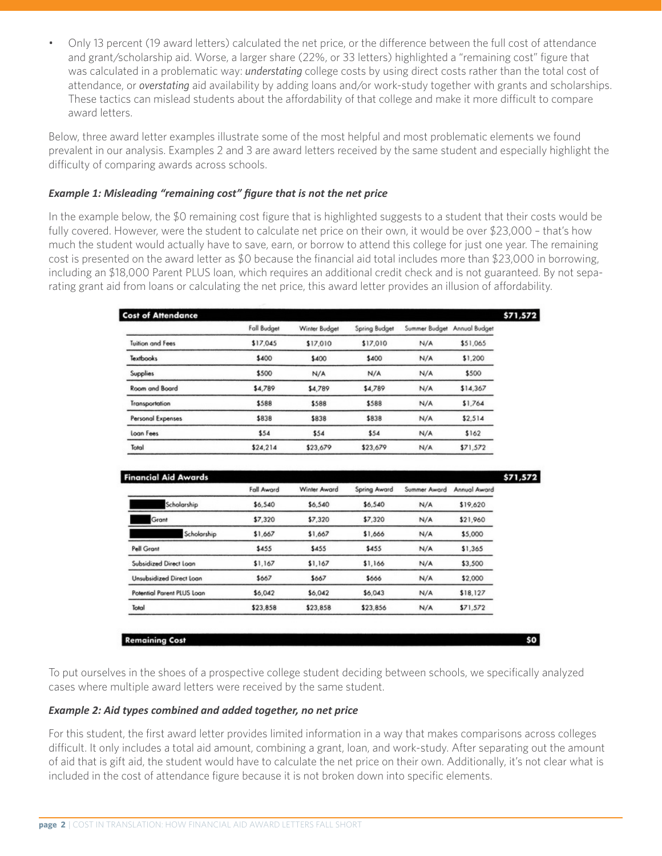Only 13 percent (19 award letters) calculated the net price, or the difference between the full cost of attendance and grant/scholarship aid. Worse, a larger share (22%, or 33 letters) highlighted a "remaining cost" figure that was calculated in a problematic way: *understating* college costs by using direct costs rather than the total cost of attendance, or *overstating* aid availability by adding loans and/or work-study together with grants and scholarships. These tactics can mislead students about the affordability of that college and make it more difficult to compare award letters.

Below, three award letter examples illustrate some of the most helpful and most problematic elements we found prevalent in our analysis. Examples 2 and 3 are award letters received by the same student and especially highlight the difficulty of comparing awards across schools.

### *Example 1: Misleading "remaining cost" figure that is not the net price*

In the example below, the \$0 remaining cost figure that is highlighted suggests to a student that their costs would be fully covered. However, were the student to calculate net price on their own, it would be over \$23,000 – that's how much the student would actually have to save, earn, or borrow to attend this college for just one year. The remaining cost is presented on the award letter as \$0 because the financial aid total includes more than \$23,000 in borrowing, including an \$18,000 Parent PLUS loan, which requires an additional credit check and is not guaranteed. By not separating grant aid from loans or calculating the net price, this award letter provides an illusion of affordability.

| <b>Cost of Attendance</b> |             |               |               |               |               | \$71,572 |
|---------------------------|-------------|---------------|---------------|---------------|---------------|----------|
|                           | Fall Budget | Winter Budget | Spring Budget | Summer Budget | Annual Budget |          |
| <b>Tuition and Fees</b>   | \$17,045    | \$17,010      | \$17,010      | N/A           | \$51,065      |          |
| <b>Textbooks</b>          | \$400       | \$400         | \$400         | N/A           | \$1,200       |          |
| Supplies                  | \$500       | N/A           | N/A           | N/A           | \$500         |          |
| Room and Board            | \$4,789     | \$4,789       | \$4,789       | N/A           | \$14,367      |          |
| Transportation            | \$588       | \$588         | \$588         | N/A           | \$1,764       |          |
| Personal Expenses         | \$838       | \$838         | \$838         | N/A           | \$2,514       |          |
| Loan Fees                 | \$54        | \$54          | \$54          | N/A           | \$162         |          |
| Total                     | \$24,214    | \$23,679      | \$23,679      | N/A           | \$71,572      |          |

| <b>Financial Aid Awards</b>     |            |              |              |              |              | \$71,572 |
|---------------------------------|------------|--------------|--------------|--------------|--------------|----------|
|                                 | Fall Award | Winter Award | Spring Award | Summer Award | Annual Award |          |
| Scholarship                     | \$6,540    | \$6,540      | \$6,540      | N/A          | \$19,620     |          |
| Grant                           | \$7,320    | \$7,320      | \$7,320      | N/A          | \$21,960     |          |
| Scholarship                     | \$1,667    | \$1,667      | \$1,666      | N/A          | \$5,000      |          |
| Pell Grant                      | \$455      | \$455        | \$455        | N/A          | \$1,365      |          |
| Subsidized Direct Loan          | \$1,167    | \$1,167      | \$1,166      | N/A          | \$3,500      |          |
| <b>Unsubsidized Direct Loan</b> | \$667      | \$667        | \$666        | N/A          | \$2,000      |          |
| Potential Parent PLUS Loan      | \$6,042    | \$6,042      | \$6,043      | N/A          | \$18,127     |          |
| Total                           | \$23,858   | \$23,858     | \$23,856     | N/A          | \$71,572     |          |

**Remaining Cost** 

To put ourselves in the shoes of a prospective college student deciding between schools, we specifically analyzed cases where multiple award letters were received by the same student.

\$O

#### *Example 2: Aid types combined and added together, no net price*

For this student, the first award letter provides limited information in a way that makes comparisons across colleges difficult. It only includes a total aid amount, combining a grant, loan, and work-study. After separating out the amount of aid that is gift aid, the student would have to calculate the net price on their own. Additionally, it's not clear what is included in the cost of attendance figure because it is not broken down into specific elements.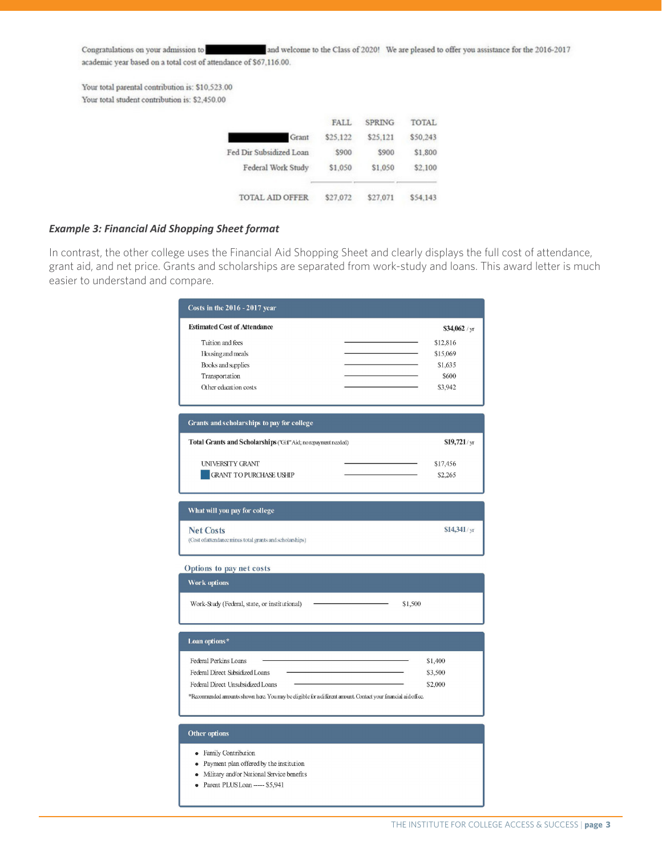and welcome to the Class of 2020! We are pleased to offer you assistance for the 2016-2017 Congratulations on your admission to academic year based on a total cost of attendance of \$67,116.00.

Your total parental contribution is: \$10,523.00 Your total student contribution is: \$2,450.00

|                         | <b>FALL</b> | <b>SPRING</b> | <b>TOTAL</b> |
|-------------------------|-------------|---------------|--------------|
| Grant                   | \$25,122    | \$25,121      | \$50,243     |
| Fed Dir Subsidized Loan | \$900       | \$900         | \$1,800      |
| Federal Work Study      | \$1,050     | \$1,050       | \$2,100      |
| <b>TOTAL AID OFFER</b>  | \$27,072    | \$27.071      | \$54,143     |

#### *Example 3: Financial Aid Shopping Sheet format*

In contrast, the other college uses the Financial Aid Shopping Sheet and clearly displays the full cost of attendance, grant aid, and net price. Grants and scholarships are separated from work-study and loans. This award letter is much easier to understand and compare.

| <b>Estimated Cost of Attendance</b><br>\$34,062 / yr<br>Tuition and fees<br>\$12,816<br>Housing and meals<br>\$15,069<br>Books and supplies<br>\$1,635<br>Transportation<br>\$600<br>Other education costs<br>\$3,942<br>Grants and scholarships to pay for college<br>Total Grants and Scholarships ("Gift" Aid; no repayment needed)<br>$$19,721$ /yr<br><b>UNIVERSITY GRANT</b><br>\$17,456<br><b>GRANT TO PURCHASE USHIP</b><br>\$2,265<br>What will you pay for college<br>$$14,341$ /yr<br><b>Net Costs</b><br>(Cost of attendance minus total grants and scholarships)<br>Options to pay net costs<br><b>Work options</b><br>Work-Study (Federal, state, or institutional)<br>\$1,500<br>Loan options*<br>Federal Perkins Loans<br>\$1,400<br>Federal Direct Subsidized Loans<br>\$3,500 |
|-------------------------------------------------------------------------------------------------------------------------------------------------------------------------------------------------------------------------------------------------------------------------------------------------------------------------------------------------------------------------------------------------------------------------------------------------------------------------------------------------------------------------------------------------------------------------------------------------------------------------------------------------------------------------------------------------------------------------------------------------------------------------------------------------|
|                                                                                                                                                                                                                                                                                                                                                                                                                                                                                                                                                                                                                                                                                                                                                                                                 |
|                                                                                                                                                                                                                                                                                                                                                                                                                                                                                                                                                                                                                                                                                                                                                                                                 |
|                                                                                                                                                                                                                                                                                                                                                                                                                                                                                                                                                                                                                                                                                                                                                                                                 |
|                                                                                                                                                                                                                                                                                                                                                                                                                                                                                                                                                                                                                                                                                                                                                                                                 |
|                                                                                                                                                                                                                                                                                                                                                                                                                                                                                                                                                                                                                                                                                                                                                                                                 |
|                                                                                                                                                                                                                                                                                                                                                                                                                                                                                                                                                                                                                                                                                                                                                                                                 |
|                                                                                                                                                                                                                                                                                                                                                                                                                                                                                                                                                                                                                                                                                                                                                                                                 |
|                                                                                                                                                                                                                                                                                                                                                                                                                                                                                                                                                                                                                                                                                                                                                                                                 |
|                                                                                                                                                                                                                                                                                                                                                                                                                                                                                                                                                                                                                                                                                                                                                                                                 |
|                                                                                                                                                                                                                                                                                                                                                                                                                                                                                                                                                                                                                                                                                                                                                                                                 |
| Federal Direct Unsubsidized Loans<br>\$2,000<br>*Recommended amounts shown here. You may be eligible for a different amount. Contact your financial aid office.                                                                                                                                                                                                                                                                                                                                                                                                                                                                                                                                                                                                                                 |